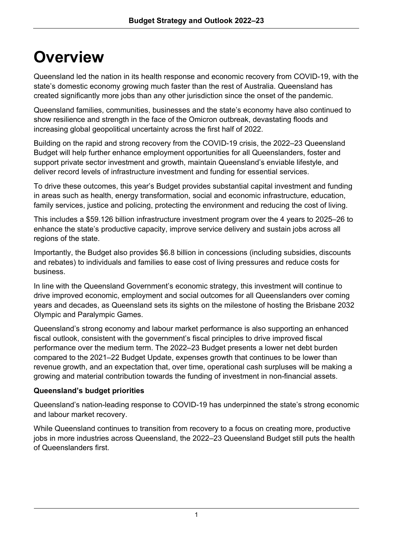# **Overview**

Queensland led the nation in its health response and economic recovery from COVID-19, with the state's domestic economy growing much faster than the rest of Australia. Queensland has created significantly more jobs than any other jurisdiction since the onset of the pandemic.

Queensland families, communities, businesses and the state's economy have also continued to show resilience and strength in the face of the Omicron outbreak, devastating floods and increasing global geopolitical uncertainty across the first half of 2022.

Building on the rapid and strong recovery from the COVID-19 crisis, the 2022–23 Queensland Budget will help further enhance employment opportunities for all Queenslanders, foster and support private sector investment and growth, maintain Queensland's enviable lifestyle, and deliver record levels of infrastructure investment and funding for essential services.

To drive these outcomes, this year's Budget provides substantial capital investment and funding in areas such as health, energy transformation, social and economic infrastructure, education, family services, justice and policing, protecting the environment and reducing the cost of living.

This includes a \$59.126 billion infrastructure investment program over the 4 years to 2025–26 to enhance the state's productive capacity, improve service delivery and sustain jobs across all regions of the state.

Importantly, the Budget also provides \$6.8 billion in concessions (including subsidies, discounts and rebates) to individuals and families to ease cost of living pressures and reduce costs for business.

In line with the Queensland Government's economic strategy, this investment will continue to drive improved economic, employment and social outcomes for all Queenslanders over coming years and decades, as Queensland sets its sights on the milestone of hosting the Brisbane 2032 Olympic and Paralympic Games.

Queensland's strong economy and labour market performance is also supporting an enhanced fiscal outlook, consistent with the government's fiscal principles to drive improved fiscal performance over the medium term. The 2022–23 Budget presents a lower net debt burden compared to the 2021–22 Budget Update, expenses growth that continues to be lower than revenue growth, and an expectation that, over time, operational cash surpluses will be making a growing and material contribution towards the funding of investment in non-financial assets.

# **Queensland's budget priorities**

Queensland's nation-leading response to COVID-19 has underpinned the state's strong economic and labour market recovery.

While Queensland continues to transition from recovery to a focus on creating more, productive jobs in more industries across Queensland, the 2022–23 Queensland Budget still puts the health of Queenslanders first.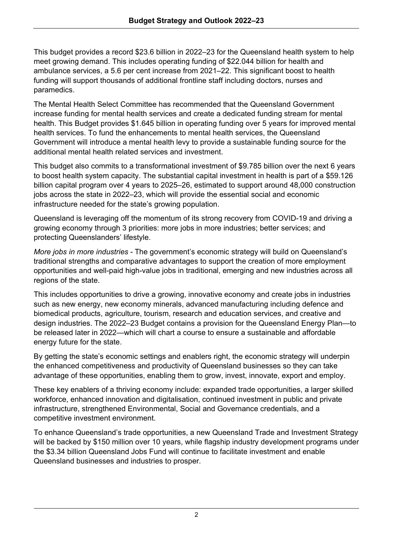This budget provides a record \$23.6 billion in 2022–23 for the Queensland health system to help meet growing demand. This includes operating funding of \$22.044 billion for health and ambulance services, a 5.6 per cent increase from 2021–22. This significant boost to health funding will support thousands of additional frontline staff including doctors, nurses and paramedics.

The Mental Health Select Committee has recommended that the Queensland Government increase funding for mental health services and create a dedicated funding stream for mental health. This Budget provides \$1.645 billion in operating funding over 5 years for improved mental health services. To fund the enhancements to mental health services, the Queensland Government will introduce a mental health levy to provide a sustainable funding source for the additional mental health related services and investment.

This budget also commits to a transformational investment of \$9.785 billion over the next 6 years to boost health system capacity. The substantial capital investment in health is part of a \$59.126 billion capital program over 4 years to 2025–26, estimated to support around 48,000 construction jobs across the state in 2022–23, which will provide the essential social and economic infrastructure needed for the state's growing population.

Queensland is leveraging off the momentum of its strong recovery from COVID-19 and driving a growing economy through 3 priorities: more jobs in more industries; better services; and protecting Queenslanders' lifestyle.

*More jobs in more industries -* The government's economic strategy will build on Queensland's traditional strengths and comparative advantages to support the creation of more employment opportunities and well-paid high-value jobs in traditional, emerging and new industries across all regions of the state.

This includes opportunities to drive a growing, innovative economy and create jobs in industries such as new energy, new economy minerals, advanced manufacturing including defence and biomedical products, agriculture, tourism, research and education services, and creative and design industries. The 2022–23 Budget contains a provision for the Queensland Energy Plan—to be released later in 2022—which will chart a course to ensure a sustainable and affordable energy future for the state.

By getting the state's economic settings and enablers right, the economic strategy will underpin the enhanced competitiveness and productivity of Queensland businesses so they can take advantage of these opportunities, enabling them to grow, invest, innovate, export and employ.

These key enablers of a thriving economy include: expanded trade opportunities, a larger skilled workforce, enhanced innovation and digitalisation, continued investment in public and private infrastructure, strengthened Environmental, Social and Governance credentials, and a competitive investment environment.

To enhance Queensland's trade opportunities, a new Queensland Trade and Investment Strategy will be backed by \$150 million over 10 years, while flagship industry development programs under the \$3.34 billion Queensland Jobs Fund will continue to facilitate investment and enable Queensland businesses and industries to prosper.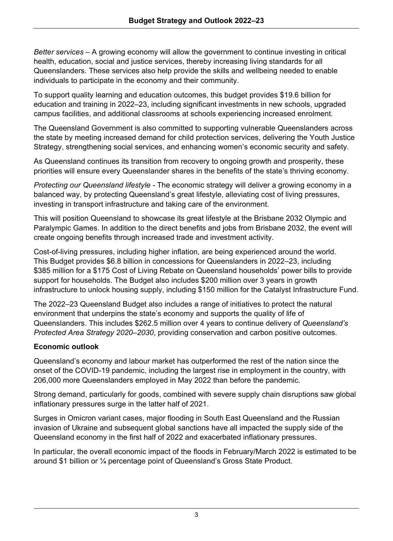*Better services* – A growing economy will allow the government to continue investing in critical health, education, social and justice services, thereby increasing living standards for all Queenslanders. These services also help provide the skills and wellbeing needed to enable individuals to participate in the economy and their community.

To support quality learning and education outcomes, this budget provides \$19.6 billion for education and training in 2022–23, including significant investments in new schools, upgraded campus facilities, and additional classrooms at schools experiencing increased enrolment.

The Queensland Government is also committed to supporting vulnerable Queenslanders across the state by meeting increased demand for child protection services, delivering the Youth Justice Strategy, strengthening social services, and enhancing women's economic security and safety.

As Queensland continues its transition from recovery to ongoing growth and prosperity, these priorities will ensure every Queenslander shares in the benefits of the state's thriving economy.

*Protecting our Queensland lifestyle -* The economic strategy will deliver a growing economy in a balanced way, by protecting Queensland's great lifestyle, alleviating cost of living pressures, investing in transport infrastructure and taking care of the environment.

This will position Queensland to showcase its great lifestyle at the Brisbane 2032 Olympic and Paralympic Games. In addition to the direct benefits and jobs from Brisbane 2032, the event will create ongoing benefits through increased trade and investment activity.

Cost-of-living pressures, including higher inflation, are being experienced around the world. This Budget provides \$6.8 billion in concessions for Queenslanders in 2022–23, including \$385 million for a \$175 Cost of Living Rebate on Queensland households' power bills to provide support for households. The Budget also includes \$200 million over 3 years in growth infrastructure to unlock housing supply, including \$150 million for the Catalyst Infrastructure Fund.

The 2022–23 Queensland Budget also includes a range of initiatives to protect the natural environment that underpins the state's economy and supports the quality of life of Queenslanders. This includes \$262.5 million over 4 years to continue delivery of *Queensland's Protected Area Strategy 2020–2030*, providing conservation and carbon positive outcomes.

## **Economic outlook**

Queensland's economy and labour market has outperformed the rest of the nation since the onset of the COVID-19 pandemic, including the largest rise in employment in the country, with 206,000 more Queenslanders employed in May 2022 than before the pandemic.

Strong demand, particularly for goods, combined with severe supply chain disruptions saw global inflationary pressures surge in the latter half of 2021.

Surges in Omicron variant cases, major flooding in South East Queensland and the Russian invasion of Ukraine and subsequent global sanctions have all impacted the supply side of the Queensland economy in the first half of 2022 and exacerbated inflationary pressures.

In particular, the overall economic impact of the floods in February/March 2022 is estimated to be around \$1 billion or ¼ percentage point of Queensland's Gross State Product.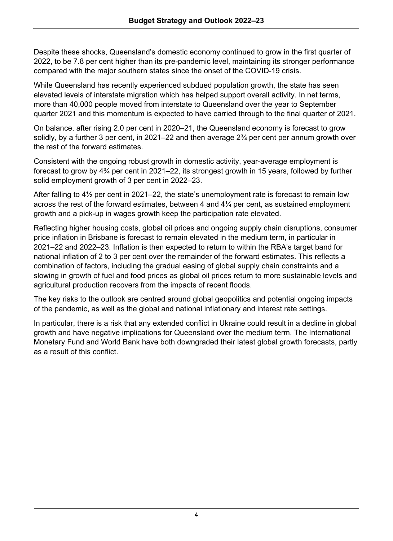Despite these shocks, Queensland's domestic economy continued to grow in the first quarter of 2022, to be 7.8 per cent higher than its pre-pandemic level, maintaining its stronger performance compared with the major southern states since the onset of the COVID-19 crisis.

While Queensland has recently experienced subdued population growth, the state has seen elevated levels of interstate migration which has helped support overall activity. In net terms, more than 40,000 people moved from interstate to Queensland over the year to September quarter 2021 and this momentum is expected to have carried through to the final quarter of 2021.

On balance, after rising 2.0 per cent in 2020–21, the Queensland economy is forecast to grow solidly, by a further 3 per cent, in 2021–22 and then average 2<sup>3</sup>/<sub>4</sub> per cent per annum growth over the rest of the forward estimates.

Consistent with the ongoing robust growth in domestic activity, year-average employment is forecast to grow by 4¾ per cent in 2021–22, its strongest growth in 15 years, followed by further solid employment growth of 3 per cent in 2022–23.

After falling to  $4\frac{1}{2}$  per cent in 2021–22, the state's unemployment rate is forecast to remain low across the rest of the forward estimates, between 4 and  $4\frac{1}{4}$  per cent, as sustained employment growth and a pick-up in wages growth keep the participation rate elevated.

Reflecting higher housing costs, global oil prices and ongoing supply chain disruptions, consumer price inflation in Brisbane is forecast to remain elevated in the medium term, in particular in 2021–22 and 2022–23. Inflation is then expected to return to within the RBA's target band for national inflation of 2 to 3 per cent over the remainder of the forward estimates. This reflects a combination of factors, including the gradual easing of global supply chain constraints and a slowing in growth of fuel and food prices as global oil prices return to more sustainable levels and agricultural production recovers from the impacts of recent floods.

The key risks to the outlook are centred around global geopolitics and potential ongoing impacts of the pandemic, as well as the global and national inflationary and interest rate settings.

In particular, there is a risk that any extended conflict in Ukraine could result in a decline in global growth and have negative implications for Queensland over the medium term. The International Monetary Fund and World Bank have both downgraded their latest global growth forecasts, partly as a result of this conflict.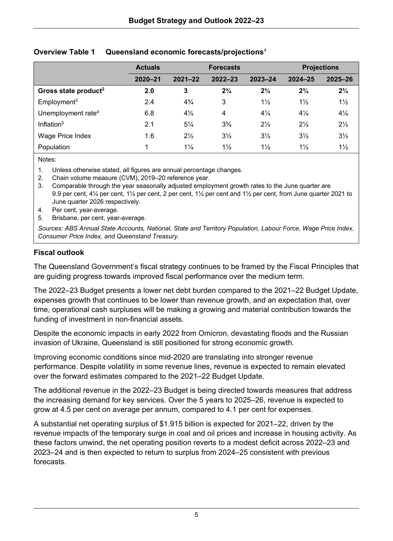|                                  | <b>Actuals</b> | <b>Forecasts</b> |                |                | <b>Projections</b> |                |
|----------------------------------|----------------|------------------|----------------|----------------|--------------------|----------------|
|                                  | 2020-21        | $2021 - 22$      | $2022 - 23$    | $2023 - 24$    | $2024 - 25$        | $2025 - 26$    |
| Gross state product <sup>2</sup> | 2.0            | 3                | $2\frac{3}{4}$ | $2^{3}/_{4}$   | $2\frac{3}{4}$     | $2\frac{3}{4}$ |
| Employment <sup>3</sup>          | 2.4            | $4\frac{3}{4}$   | 3              | $1\frac{1}{2}$ | $1\frac{1}{2}$     | $1\frac{1}{2}$ |
| Unemployment rate <sup>4</sup>   | 6.8            | $4\frac{1}{2}$   | 4              | $4\frac{1}{4}$ | $4\frac{1}{4}$     | $4\frac{1}{4}$ |
| Inflation <sup>5</sup>           | 2.1            | $5\frac{1}{4}$   | $3\frac{3}{4}$ | $2\frac{1}{2}$ | $2\frac{1}{2}$     | $2\frac{1}{2}$ |
| Wage Price Index                 | 1.6            | $2\frac{1}{2}$   | $3\frac{1}{2}$ | $3\frac{1}{2}$ | $3\frac{1}{2}$     | $3\frac{1}{2}$ |
| Population                       |                | $1\frac{1}{4}$   | $1\frac{1}{2}$ | $1\frac{1}{2}$ | $1\frac{1}{2}$     | $1\frac{1}{2}$ |

#### **Overview Table 1 Queensland economic forecasts/projections1**

Notes:

1. Unless otherwise stated, all figures are annual percentage changes.

2. Chain volume measure (CVM), 2019–20 reference year.

3. Comparable through the year seasonally adjusted employment growth rates to the June quarter are 9.9 per cent, 4¼ per cent, 1¼ per cent, 2 per cent, 1½ per cent and 1½ per cent, from June quarter 2021 to June quarter 2026 respectively.

- 4. Per cent, year-average.
- 5. Brisbane, per cent, year-average.

*Sources: ABS Annual State Accounts, National, State and Territory Population, Labour Force, Wage Price Index, Consumer Price Index, and Queensland Treasury.*

#### **Fiscal outlook**

The Queensland Government's fiscal strategy continues to be framed by the Fiscal Principles that are guiding progress towards improved fiscal performance over the medium term.

The 2022–23 Budget presents a lower net debt burden compared to the 2021–22 Budget Update, expenses growth that continues to be lower than revenue growth, and an expectation that, over time, operational cash surpluses will be making a growing and material contribution towards the funding of investment in non-financial assets.

Despite the economic impacts in early 2022 from Omicron, devastating floods and the Russian invasion of Ukraine, Queensland is still positioned for strong economic growth.

Improving economic conditions since mid-2020 are translating into stronger revenue performance. Despite volatility in some revenue lines, revenue is expected to remain elevated over the forward estimates compared to the 2021–22 Budget Update.

The additional revenue in the 2022–23 Budget is being directed towards measures that address the increasing demand for key services. Over the 5 years to 2025–26, revenue is expected to grow at 4.5 per cent on average per annum, compared to 4.1 per cent for expenses.

A substantial net operating surplus of \$1.915 billion is expected for 2021–22, driven by the revenue impacts of the temporary surge in coal and oil prices and increase in housing activity. As these factors unwind, the net operating position reverts to a modest deficit across 2022–23 and 2023–24 and is then expected to return to surplus from 2024–25 consistent with previous forecasts.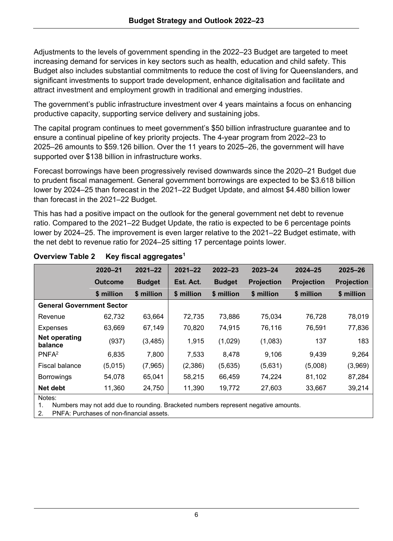Adjustments to the levels of government spending in the 2022–23 Budget are targeted to meet increasing demand for services in key sectors such as health, education and child safety. This Budget also includes substantial commitments to reduce the cost of living for Queenslanders, and significant investments to support trade development, enhance digitalisation and facilitate and attract investment and employment growth in traditional and emerging industries.

The government's public infrastructure investment over 4 years maintains a focus on enhancing productive capacity, supporting service delivery and sustaining jobs.

The capital program continues to meet government's \$50 billion infrastructure guarantee and to ensure a continual pipeline of key priority projects. The 4-year program from 2022–23 to 2025–26 amounts to \$59.126 billion. Over the 11 years to 2025–26, the government will have supported over \$138 billion in infrastructure works.

Forecast borrowings have been progressively revised downwards since the 2020–21 Budget due to prudent fiscal management. General government borrowings are expected to be \$3.618 billion lower by 2024–25 than forecast in the 2021–22 Budget Update, and almost \$4.480 billion lower than forecast in the 2021–22 Budget.

This has had a positive impact on the outlook for the general government net debt to revenue ratio. Compared to the 2021–22 Budget Update, the ratio is expected to be 6 percentage points lower by 2024–25. The improvement is even larger relative to the 2021–22 Budget estimate, with the net debt to revenue ratio for 2024–25 sitting 17 percentage points lower.

|                                  | $2020 - 21$    | $2021 - 22$   | $2021 - 22$ | $2022 - 23$   | $2023 - 24$       | $2024 - 25$       | $2025 - 26$       |
|----------------------------------|----------------|---------------|-------------|---------------|-------------------|-------------------|-------------------|
|                                  | <b>Outcome</b> | <b>Budget</b> | Est. Act.   | <b>Budget</b> | <b>Projection</b> | <b>Projection</b> | <b>Projection</b> |
|                                  | \$ million     | \$ million    | \$ million  | \$ million    | \$ million        | \$ million        | \$ million        |
| <b>General Government Sector</b> |                |               |             |               |                   |                   |                   |
| Revenue                          | 62.732         | 63.664        | 72.735      | 73.886        | 75.034            | 76.728            | 78,019            |
| <b>Expenses</b>                  | 63.669         | 67,149        | 70.820      | 74.915        | 76.116            | 76.591            | 77,836            |
| Net operating<br>balance         | (937)          | (3, 485)      | 1,915       | (1,029)       | (1,083)           | 137               | 183               |
| PNFA <sup>2</sup>                | 6.835          | 7.800         | 7.533       | 8.478         | 9.106             | 9.439             | 9.264             |
| Fiscal balance                   | (5.015)        | (7.965)       | (2,386)     | (5,635)       | (5,631)           | (5,008)           | (3,969)           |
| <b>Borrowings</b>                | 54.078         | 65.041        | 58.215      | 66.459        | 74.224            | 81,102            | 87,284            |
| Net debt                         | 11,360         | 24,750        | 11,390      | 19,772        | 27,603            | 33,667            | 39,214            |

## **Overview Table 2 Key fiscal aggregates1**

Notes:

1. Numbers may not add due to rounding. Bracketed numbers represent negative amounts.

2. PNFA: Purchases of non-financial assets.